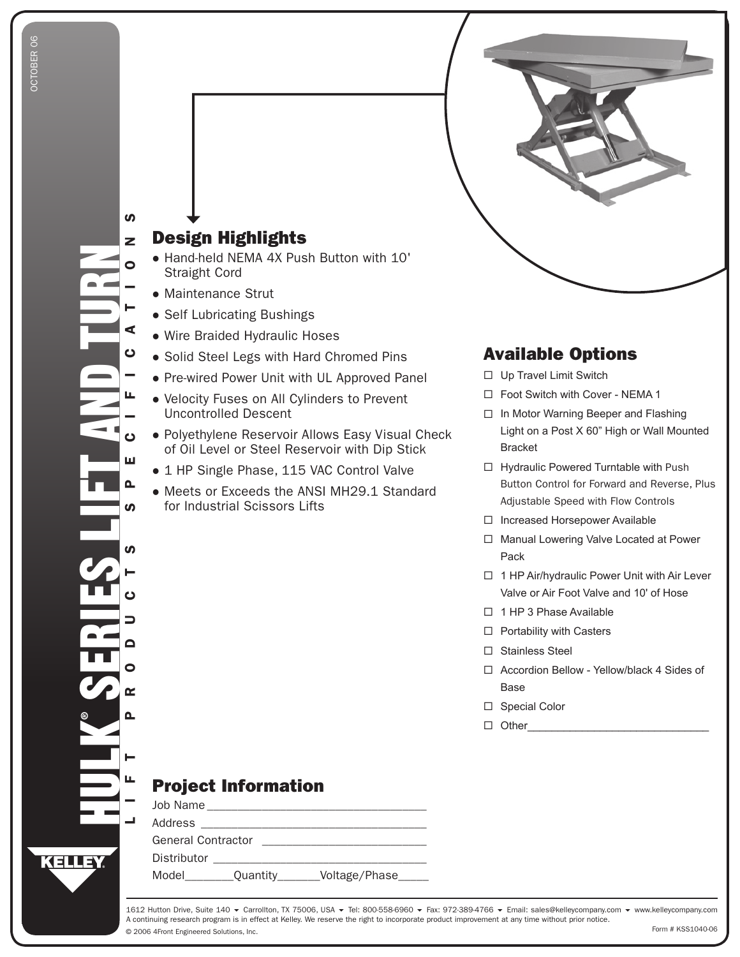## Design Highlights

- Hand-held NEMA 4X Push Button with 10' Straight Cord
- Maintenance Strut

 $\boldsymbol{\omega}$ 

- Self Lubricating Bushings
- Wire Braided Hydraulic Hoses
- **Solid Steel Legs with Hard Chromed Pins**
- Pre-wired Power Unit with UL Approved Panel
- Velocity Fuses on All Cylinders to Prevent Uncontrolled Descent
- Polyethylene Reservoir Allows Easy Visual Check of Oil Level or Steel Reservoir with Dip Stick
- 1 HP Single Phase, 115 VAC Control Valve
- Meets or Exceeds the ANSI MH29.1 Standard for Industrial Scissors Lifts

## Available Options

- □ Up Travel Limit Switch
- □ Foot Switch with Cover NEMA 1
- □ In Motor Warning Beeper and Flashing Light on a Post X 60" High or Wall Mounted Bracket
- □ Hydraulic Powered Turntable with Push Button Control for Forward and Reverse, Plus Adjustable Speed with Flow Controls
- □ Increased Horsepower Available
- □ Manual Lowering Valve Located at Power Pack
- □ 1 HP Air/hydraulic Power Unit with Air Lever Valve or Air Foot Valve and 10' of Hose
- □ 1 HP 3 Phase Available
- □ Portability with Casters
- □ Stainless Steel
- □ Accordion Bellow Yellow/black 4 Sides of Base
- □ Special Color
- Other \_\_\_\_\_\_\_\_\_\_\_\_\_\_\_\_\_\_\_\_\_\_\_\_\_\_\_\_\_\_

## Project Information

| Job Name                  |          |               |  |  |  |  |  |  |
|---------------------------|----------|---------------|--|--|--|--|--|--|
| Address                   |          |               |  |  |  |  |  |  |
| <b>General Contractor</b> |          |               |  |  |  |  |  |  |
| Distributor               |          |               |  |  |  |  |  |  |
| Model                     | Quantity | Voltage/Phase |  |  |  |  |  |  |

© 2006 4Front Engineered Solutions, Inc. 1612 Hutton Drive, Suite 140 ▼ Carrollton, TX 75006, USA ▼ Tel: 800-558-6960 ▼ Fax: 972-389-4766 ▼ Email: sales@kelleycompany.com ▼ www.kelleycompany.com A continuing research program is in effect at Kelley. We reserve the right to incorporate product improvement at any time without prior notice. Form # KSS1040-06